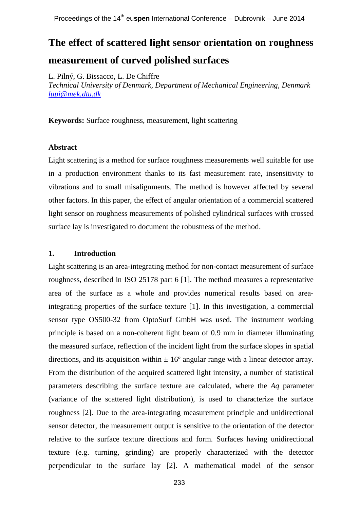# **The effect of scattered light sensor orientation on roughness measurement of curved polished surfaces**

L. Pilný, G. Bissacco, L. De Chiffre

*Technical University of Denmark, Department of Mechanical Engineering, Denmark [lupi@mek.dtu.dk](mailto:Corresponding.author@email.com)*

**Keywords:** Surface roughness, measurement, light scattering

## **Abstract**

Light scattering is a method for surface roughness measurements well suitable for use in a production environment thanks to its fast measurement rate, insensitivity to vibrations and to small misalignments. The method is however affected by several other factors. In this paper, the effect of angular orientation of a commercial scattered light sensor on roughness measurements of polished cylindrical surfaces with crossed surface lay is investigated to document the robustness of the method.

## **1. Introduction**

Light scattering is an area-integrating method for non-contact measurement of surface roughness, described in ISO 25178 part 6 [1]. The method measures a representative area of the surface as a whole and provides numerical results based on areaintegrating properties of the surface texture [1]. In this investigation, a commercial sensor type OS500-32 from OptoSurf GmbH was used. The instrument working principle is based on a non-coherent light beam of 0.9 mm in diameter illuminating the measured surface, reflection of the incident light from the surface slopes in spatial directions, and its acquisition within  $\pm 16^{\circ}$  angular range with a linear detector array. From the distribution of the acquired scattered light intensity, a number of statistical parameters describing the surface texture are calculated, where the *Aq* parameter (variance of the scattered light distribution), is used to characterize the surface roughness [2]. Due to the area-integrating measurement principle and unidirectional sensor detector, the measurement output is sensitive to the orientation of the detector relative to the surface texture directions and form. Surfaces having unidirectional texture (e.g. turning, grinding) are properly characterized with the detector perpendicular to the surface lay [2]. A mathematical model of the sensor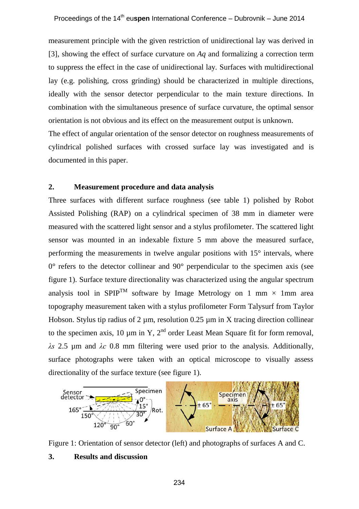measurement principle with the given restriction of unidirectional lay was derived in [3], showing the effect of surface curvature on *Aq* and formalizing a correction term to suppress the effect in the case of unidirectional lay. Surfaces with multidirectional lay (e.g. polishing, cross grinding) should be characterized in multiple directions, ideally with the sensor detector perpendicular to the main texture directions. In combination with the simultaneous presence of surface curvature, the optimal sensor orientation is not obvious and its effect on the measurement output is unknown.

The effect of angular orientation of the sensor detector on roughness measurements of cylindrical polished surfaces with crossed surface lay was investigated and is documented in this paper.

# **2. Measurement procedure and data analysis**

Three surfaces with different surface roughness (see table 1) polished by Robot Assisted Polishing (RAP) on a cylindrical specimen of 38 mm in diameter were measured with the scattered light sensor and a stylus profilometer. The scattered light sensor was mounted in an indexable fixture 5 mm above the measured surface, performing the measurements in twelve angular positions with 15° intervals, where  $0^{\circ}$  refers to the detector collinear and  $90^{\circ}$  perpendicular to the specimen axis (see figure 1). Surface texture directionality was characterized using the angular spectrum analysis tool in SPIP<sup>TM</sup> software by Image Metrology on 1 mm  $\times$  1 mm area topography measurement taken with a stylus profilometer Form Talysurf from Taylor Hobson. Stylus tip radius of 2 um, resolution  $0.25$  um in X tracing direction collinear to the specimen axis, 10  $\mu$ m in Y, 2<sup>nd</sup> order Least Mean Square fit for form removal, *λs* 2.5 µm and *λc* 0.8 mm filtering were used prior to the analysis. Additionally, surface photographs were taken with an optical microscope to visually assess directionality of the surface texture (see figure 1).





## **3. Results and discussion**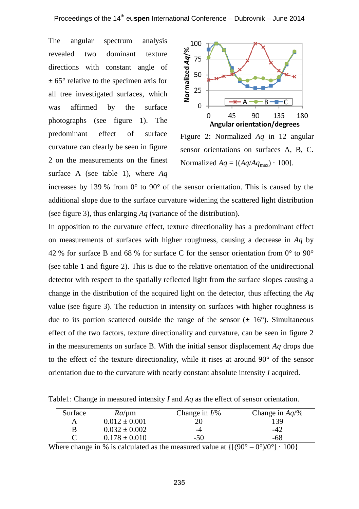The angular spectrum analysis revealed two dominant texture directions with constant angle of  $\pm$  65 $\degree$  relative to the specimen axis for all tree investigated surfaces, which was affirmed by the surface photographs (see figure 1). The predominant effect of surface curvature can clearly be seen in figure 2 on the measurements on the finest surface A (see table 1), where *Aq*



Figure 2: Normalized *Aq* in 12 angular sensor orientations on surfaces A, B, C. Normalized  $Aq = [(Aq/Aq_{max}) \cdot 100]$ .

increases by 139 % from 0° to 90° of the sensor orientation. This is caused by the additional slope due to the surface curvature widening the scattered light distribution (see figure 3), thus enlarging *Aq* (variance of the distribution).

In opposition to the curvature effect, texture directionality has a predominant effect on measurements of surfaces with higher roughness, causing a decrease in *Aq* by 42 % for surface B and 68 % for surface C for the sensor orientation from 0° to 90° (see table 1 and figure 2). This is due to the relative orientation of the unidirectional detector with respect to the spatially reflected light from the surface slopes causing a change in the distribution of the acquired light on the detector, thus affecting the *Aq* value (see figure 3). The reduction in intensity on surfaces with higher roughness is due to its portion scattered outside the range of the sensor  $(\pm 16^{\circ})$ . Simultaneous effect of the two factors, texture directionality and curvature, can be seen in figure 2 in the measurements on surface B. With the initial sensor displacement  $Aq$  drops due to the effect of the texture directionality, while it rises at around 90° of the sensor orientation due to the curvature with nearly constant absolute intensity *I* acquired.

Table1: Change in measured intensity *I* and *Aq* as the effect of sensor orientation.

| Surface | <i>Ra</i> /um     | Change in $I/\%$ | Change in $Aq/\%$ |
|---------|-------------------|------------------|-------------------|
| А       | $0.012 \pm 0.001$ |                  | 139               |
| B       | $0.032 \pm 0.002$ | -4               | -42               |
|         | $0.178 + 0.010$   | -50              | -68               |

Where change in % is calculated as the measured value at  $\{[(90^\circ - 0^\circ)/0^\circ] \cdot 100\}$